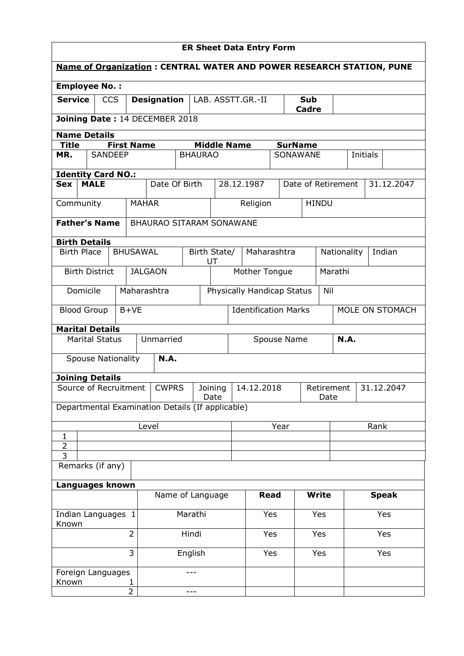| <b>ER Sheet Data Entry Form</b>                                             |                           |                   |                                 |                |                                                |                                          |                                          |              |                    |                                  |                       |          |     |            |
|-----------------------------------------------------------------------------|---------------------------|-------------------|---------------------------------|----------------|------------------------------------------------|------------------------------------------|------------------------------------------|--------------|--------------------|----------------------------------|-----------------------|----------|-----|------------|
| <b>Name of Organization: CENTRAL WATER AND POWER RESEARCH STATION, PUNE</b> |                           |                   |                                 |                |                                                |                                          |                                          |              |                    |                                  |                       |          |     |            |
| <b>Employee No.:</b>                                                        |                           |                   |                                 |                |                                                |                                          |                                          |              |                    |                                  |                       |          |     |            |
| <b>Service</b>                                                              | <b>CCS</b>                |                   | <b>Designation</b>              |                |                                                |                                          | LAB. ASSTT.GR.-II<br><b>Sub</b><br>Cadre |              |                    |                                  |                       |          |     |            |
| Joining Date: 14 DECEMBER 2018                                              |                           |                   |                                 |                |                                                |                                          |                                          |              |                    |                                  |                       |          |     |            |
| <b>Name Details</b>                                                         |                           |                   |                                 |                |                                                |                                          |                                          |              |                    |                                  |                       |          |     |            |
| <b>Title</b>                                                                |                           | <b>First Name</b> |                                 |                | <b>Middle Name</b>                             |                                          |                                          |              | <b>SurName</b>     |                                  |                       |          |     |            |
| MR.                                                                         | <b>SANDEEP</b>            |                   |                                 | <b>BHAURAO</b> |                                                |                                          |                                          | SONAWANE     |                    |                                  |                       | Initials |     |            |
| <b>Identity Card NO.:</b>                                                   |                           |                   |                                 |                |                                                |                                          |                                          |              |                    |                                  |                       |          |     |            |
| <b>MALE</b><br>Sex                                                          |                           |                   | Date Of Birth                   |                |                                                |                                          | 28.12.1987                               |              | Date of Retirement |                                  |                       |          |     | 31.12.2047 |
| Community                                                                   |                           | <b>MAHAR</b>      |                                 |                |                                                |                                          | Religion                                 |              |                    | <b>HINDU</b>                     |                       |          |     |            |
| <b>Father's Name</b>                                                        |                           |                   | <b>BHAURAO SITARAM SONAWANE</b> |                |                                                |                                          |                                          |              |                    |                                  |                       |          |     |            |
| <b>Birth Details</b>                                                        |                           |                   |                                 |                |                                                |                                          |                                          |              |                    |                                  |                       |          |     |            |
| <b>Birth Place</b>                                                          |                           | <b>BHUSAWAL</b>   |                                 | Birth State/   |                                                |                                          | Maharashtra                              |              |                    |                                  | Nationality<br>Indian |          |     |            |
| UT<br><b>JALGAON</b><br><b>Birth District</b>                               |                           |                   |                                 |                | Marathi<br>Mother Tongue                       |                                          |                                          |              |                    |                                  |                       |          |     |            |
| Domicile<br>Maharashtra                                                     |                           |                   |                                 |                |                                                | <b>Physically Handicap Status</b><br>Nil |                                          |              |                    |                                  |                       |          |     |            |
| <b>Blood Group</b><br>$B+VE$                                                |                           |                   |                                 |                | <b>Identification Marks</b><br>MOLE ON STOMACH |                                          |                                          |              |                    |                                  |                       |          |     |            |
| <b>Marital Details</b>                                                      |                           |                   |                                 |                |                                                |                                          |                                          |              |                    |                                  |                       |          |     |            |
|                                                                             | <b>Marital Status</b>     |                   | Unmarried                       |                |                                                |                                          | Spouse Name<br><b>N.A.</b>               |              |                    |                                  |                       |          |     |            |
|                                                                             | <b>Spouse Nationality</b> |                   | <b>N.A.</b>                     |                |                                                |                                          |                                          |              |                    |                                  |                       |          |     |            |
| <b>Joining Details</b>                                                      |                           |                   |                                 |                |                                                |                                          |                                          |              |                    |                                  |                       |          |     |            |
| Source of Recruitment                                                       |                           |                   | <b>CWPRS</b>                    |                | 14.12.2018<br>Joining<br>Date                  |                                          |                                          |              |                    | 31.12.2047<br>Retirement<br>Date |                       |          |     |            |
| Departmental Examination Details (If applicable)                            |                           |                   |                                 |                |                                                |                                          |                                          |              |                    |                                  |                       |          |     |            |
|                                                                             |                           |                   | Level                           |                |                                                |                                          |                                          | Year         |                    |                                  | Rank                  |          |     |            |
| $\mathbf{1}$<br>$\overline{2}$                                              |                           |                   |                                 |                |                                                |                                          |                                          |              |                    |                                  |                       |          |     |            |
| $\overline{3}$                                                              |                           |                   |                                 |                |                                                |                                          |                                          |              |                    |                                  |                       |          |     |            |
| Remarks (if any)                                                            |                           |                   |                                 |                |                                                |                                          |                                          |              |                    |                                  |                       |          |     |            |
| Languages known                                                             |                           |                   |                                 |                |                                                |                                          |                                          |              |                    |                                  |                       |          |     |            |
| Name of Language                                                            |                           |                   |                                 |                | <b>Read</b>                                    |                                          |                                          | <b>Write</b> |                    |                                  | <b>Speak</b>          |          |     |            |
| Indian Languages 1<br>Known                                                 |                           |                   |                                 | Marathi        |                                                |                                          | Yes                                      |              |                    | Yes                              |                       |          | Yes |            |
|                                                                             |                           | $\overline{2}$    |                                 | Hindi          |                                                |                                          |                                          | Yes<br>Yes   |                    |                                  |                       |          | Yes |            |
|                                                                             |                           | $\overline{3}$    |                                 | English        |                                                |                                          | Yes                                      |              |                    | Yes                              |                       |          | Yes |            |
| Foreign Languages<br>Known                                                  |                           | 1                 |                                 | ---            |                                                |                                          |                                          |              |                    |                                  |                       |          |     |            |
|                                                                             |                           | $\overline{2}$    |                                 | $---$          |                                                |                                          |                                          |              |                    |                                  |                       |          |     |            |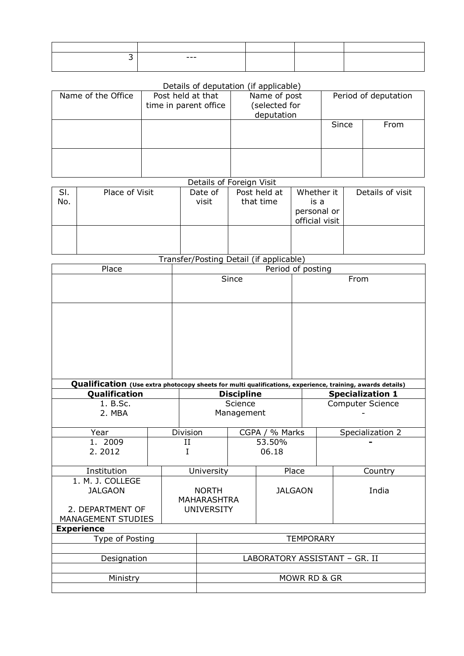| --- |  |  |
|-----|--|--|
|     |  |  |

## Details of deputation (if applicable)

| Name of the Office | Post held at that<br>time in parent office | Name of post<br>selected for)<br>deputation | Period of deputation |      |  |  |
|--------------------|--------------------------------------------|---------------------------------------------|----------------------|------|--|--|
|                    |                                            |                                             | Since                | From |  |  |
|                    |                                            |                                             |                      |      |  |  |

## Details of Foreign Visit

| SI.<br>No. | Place of Visit | Date of<br>visit | Post held at<br>that time | Whether it<br>is a<br>personal or | Details of visit |
|------------|----------------|------------------|---------------------------|-----------------------------------|------------------|
|            |                |                  |                           | official visit                    |                  |

Transfer/Posting Detail (if applicable)

| Place                                |                    | Period of posting             |                   |        |                |                                                                                                           |  |  |  |  |
|--------------------------------------|--------------------|-------------------------------|-------------------|--------|----------------|-----------------------------------------------------------------------------------------------------------|--|--|--|--|
|                                      |                    | Since                         |                   |        |                | From                                                                                                      |  |  |  |  |
|                                      |                    |                               |                   |        |                |                                                                                                           |  |  |  |  |
|                                      |                    |                               |                   |        |                | Qualification (Use extra photocopy sheets for multi qualifications, experience, training, awards details) |  |  |  |  |
| Qualification                        |                    |                               | <b>Discipline</b> |        |                | <b>Specialization 1</b>                                                                                   |  |  |  |  |
| 1. B.Sc.                             |                    | Science                       |                   |        |                | <b>Computer Science</b>                                                                                   |  |  |  |  |
| 2. MBA                               |                    | Management                    |                   |        |                |                                                                                                           |  |  |  |  |
| Year                                 |                    | Division<br>CGPA / % Marks    |                   |        |                | Specialization 2                                                                                          |  |  |  |  |
| 1. 2009                              |                    | II                            |                   | 53.50% |                |                                                                                                           |  |  |  |  |
| 2.2012                               |                    | I                             |                   | 06.18  |                |                                                                                                           |  |  |  |  |
| Institution                          |                    | University                    |                   |        | Place          | Country                                                                                                   |  |  |  |  |
| 1. M. J. COLLEGE                     |                    |                               |                   |        |                |                                                                                                           |  |  |  |  |
| <b>JALGAON</b>                       |                    | <b>NORTH</b>                  |                   |        | <b>JALGAON</b> | India                                                                                                     |  |  |  |  |
|                                      | <b>MAHARASHTRA</b> |                               |                   |        |                |                                                                                                           |  |  |  |  |
| 2. DEPARTMENT OF                     |                    | <b>UNIVERSITY</b>             |                   |        |                |                                                                                                           |  |  |  |  |
| <b>MANAGEMENT STUDIES</b>            |                    |                               |                   |        |                |                                                                                                           |  |  |  |  |
| <b>Experience</b><br>Type of Posting |                    |                               |                   |        |                |                                                                                                           |  |  |  |  |
|                                      |                    | <b>TEMPORARY</b>              |                   |        |                |                                                                                                           |  |  |  |  |
| Designation                          |                    | LABORATORY ASSISTANT - GR. II |                   |        |                |                                                                                                           |  |  |  |  |
|                                      |                    |                               |                   |        |                |                                                                                                           |  |  |  |  |
| Ministry                             |                    | MOWR RD & GR                  |                   |        |                |                                                                                                           |  |  |  |  |
|                                      |                    |                               |                   |        |                |                                                                                                           |  |  |  |  |